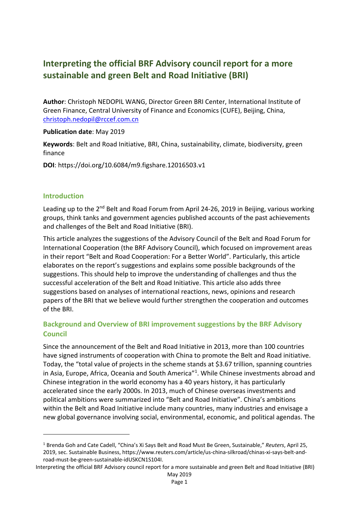# **Interpreting the official BRF Advisory council report for a more sustainable and green Belt and Road Initiative (BRI)**

**Author**: Christoph NEDOPIL WANG, Director Green BRI Center, International Institute of Green Finance, Central University of Finance and Economics (CUFE), Beijing, China, christoph.nedopil@rccef.com.cn

#### **Publication date**: May 2019

**Keywords**: Belt and Road Initiative, BRI, China, sustainability, climate, biodiversity, green finance

**DOI**: https://doi.org/10.6084/m9.figshare.12016503.v1

#### **Introduction**

Leading up to the  $2^{nd}$  Belt and Road Forum from April 24-26, 2019 in Beijing, various working groups, think tanks and government agencies published accounts of the past achievements and challenges of the Belt and Road Initiative (BRI).

This article analyzes the suggestions of the Advisory Council of the Belt and Road Forum for International Cooperation (the BRF Advisory Council), which focused on improvement areas in their report "Belt and Road Cooperation: For a Better World". Particularly, this article elaborates on the report's suggestions and explains some possible backgrounds of the suggestions. This should help to improve the understanding of challenges and thus the successful acceleration of the Belt and Road Initiative. This article also adds three suggestions based on analyses of international reactions, news, opinions and research papers of the BRI that we believe would further strengthen the cooperation and outcomes of the BRI.

# **Background and Overview of BRI improvement suggestions by the BRF Advisory Council**

Since the announcement of the Belt and Road Initiative in 2013, more than 100 countries have signed instruments of cooperation with China to promote the Belt and Road initiative. Today, the "total value of projects in the scheme stands at \$3.67 trillion, spanning countries in Asia, Europe, Africa, Oceania and South America"<sup>1</sup>. While Chinese investments abroad and Chinese integration in the world economy has a 40 years history, it has particularly accelerated since the early 2000s. In 2013, much of Chinese overseas investments and political ambitions were summarized into "Belt and Road Initiative". China's ambitions within the Belt and Road Initiative include many countries, many industries and envisage a new global governance involving social, environmental, economic, and political agendas. The

<sup>1</sup> Brenda Goh and Cate Cadell, "China's Xi Says Belt and Road Must Be Green, Sustainable," *Reuters*, April 25, 2019, sec. Sustainable Business, https://www.reuters.com/article/us-china-silkroad/chinas-xi-says-belt-androad-must-be-green-sustainable-idUSKCN1S104I.

Interpreting the official BRF Advisory council report for a more sustainable and green Belt and Road Initiative (BRI)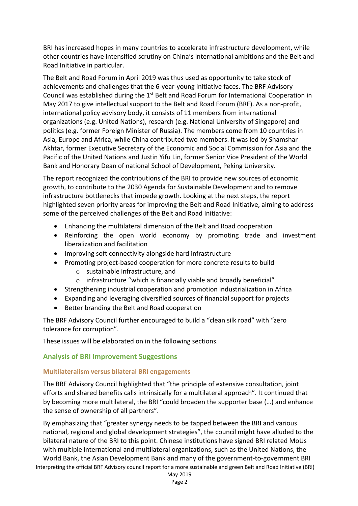BRI has increased hopes in many countries to accelerate infrastructure development, while other countries have intensified scrutiny on China's international ambitions and the Belt and Road Initiative in particular.

The Belt and Road Forum in April 2019 was thus used as opportunity to take stock of achievements and challenges that the 6-year-young initiative faces. The BRF Advisory Council was established during the 1<sup>st</sup> Belt and Road Forum for International Cooperation in May 2017 to give intellectual support to the Belt and Road Forum (BRF). As a non-profit, international policy advisory body, it consists of 11 members from international organizations (e.g. United Nations), research (e.g. National University of Singapore) and politics (e.g. former Foreign Minister of Russia). The members come from 10 countries in Asia, Europe and Africa, while China contributed two members. It was led by Shamshar Akhtar, former Executive Secretary of the Economic and Social Commission for Asia and the Pacific of the United Nations and Justin Yifu Lin, former Senior Vice President of the World Bank and Honorary Dean of national School of Development, Peking University.

The report recognized the contributions of the BRI to provide new sources of economic growth, to contribute to the 2030 Agenda for Sustainable Development and to remove infrastructure bottlenecks that impede growth. Looking at the next steps, the report highlighted seven priority areas for improving the Belt and Road Initiative, aiming to address some of the perceived challenges of the Belt and Road Initiative:

- Enhancing the multilateral dimension of the Belt and Road cooperation
- Reinforcing the open world economy by promoting trade and investment liberalization and facilitation
- Improving soft connectivity alongside hard infrastructure
- Promoting project-based cooperation for more concrete results to build
	- o sustainable infrastructure, and
	- o infrastructure "which is financially viable and broadly beneficial"
- Strengthening industrial cooperation and promotion industrialization in Africa
- Expanding and leveraging diversified sources of financial support for projects
- Better branding the Belt and Road cooperation

The BRF Advisory Council further encouraged to build a "clean silk road" with "zero tolerance for corruption".

These issues will be elaborated on in the following sections.

## **Analysis of BRI Improvement Suggestions**

## **Multilateralism versus bilateral BRI engagements**

The BRF Advisory Council highlighted that "the principle of extensive consultation, joint efforts and shared benefits calls intrinsically for a multilateral approach". It continued that by becoming more multilateral, the BRI "could broaden the supporter base (…) and enhance the sense of ownership of all partners".

By emphasizing that "greater synergy needs to be tapped between the BRI and various national, regional and global development strategies", the council might have alluded to the bilateral nature of the BRI to this point. Chinese institutions have signed BRI related MoUs with multiple international and multilateral organizations, such as the United Nations, the World Bank, the Asian Development Bank and many of the government-to-government BRI

Interpreting the official BRF Advisory council report for a more sustainable and green Belt and Road Initiative (BRI)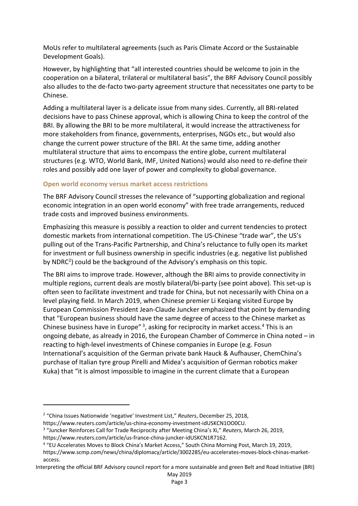MoUs refer to multilateral agreements (such as Paris Climate Accord or the Sustainable Development Goals).

However, by highlighting that "all interested countries should be welcome to join in the cooperation on a bilateral, trilateral or multilateral basis", the BRF Advisory Council possibly also alludes to the de-facto two-party agreement structure that necessitates one party to be Chinese.

Adding a multilateral layer is a delicate issue from many sides. Currently, all BRI-related decisions have to pass Chinese approval, which is allowing China to keep the control of the BRI. By allowing the BRI to be more multilateral, it would increase the attractiveness for more stakeholders from finance, governments, enterprises, NGOs etc., but would also change the current power structure of the BRI. At the same time, adding another multilateral structure that aims to encompass the entire globe, current multilateral structures (e.g. WTO, World Bank, IMF, United Nations) would also need to re-define their roles and possibly add one layer of power and complexity to global governance.

## **Open world economy versus market access restrictions**

The BRF Advisory Council stresses the relevance of "supporting globalization and regional economic integration in an open world economy" with free trade arrangements, reduced trade costs and improved business environments.

Emphasizing this measure is possibly a reaction to older and current tendencies to protect domestic markets from international competition. The US-Chinese "trade war", the US's pulling out of the Trans-Pacific Partnership, and China's reluctance to fully open its market for investment or full business ownership in specific industries (e.g. negative list published by NDRC2) could be the background of the Advisory's emphasis on this topic.

The BRI aims to improve trade. However, although the BRI aims to provide connectivity in multiple regions, current deals are mostly bilateral/bi-party (see point above). This set-up is often seen to facilitate investment and trade for China, but not necessarily with China on a level playing field. In March 2019, when Chinese premier Li Keqiang visited Europe by European Commission President Jean-Claude Juncker emphasized that point by demanding that "European business should have the same degree of access to the Chinese market as Chinese business have in Europe"<sup>3</sup>, asking for reciprocity in market access.<sup>4</sup> This is an ongoing debate, as already in 2016, the European Chamber of Commerce in China noted – in reacting to high-level investments of Chinese companies in Europe (e.g. Fosun International's acquisition of the German private bank Hauck & Aufhauser, ChemChina's purchase of Italian tyre group Pirelli and Midea's acquisition of German robotics maker Kuka) that "it is almost impossible to imagine in the current climate that a European

<sup>2</sup> "China Issues Nationwide 'negative' Investment List," *Reuters*, December 25, 2018,

https://www.reuters.com/article/us-china-economy-investment-idUSKCN1OO0CU.

<sup>3</sup> "Juncker Reinforces Call for Trade Reciprocity after Meeting China's Xi," *Reuters*, March 26, 2019,

https://www.reuters.com/article/us-france-china-juncker-idUSKCN1R7162.

<sup>4</sup> "EU Accelerates Moves to Block China's Market Access," South China Morning Post, March 19, 2019,

https://www.scmp.com/news/china/diplomacy/article/3002285/eu-accelerates-moves-block-chinas-marketaccess.

Interpreting the official BRF Advisory council report for a more sustainable and green Belt and Road Initiative (BRI) May 2019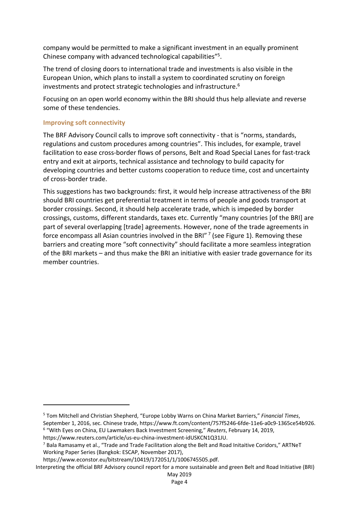company would be permitted to make a significant investment in an equally prominent Chinese company with advanced technological capabilities"5.

The trend of closing doors to international trade and investments is also visible in the European Union, which plans to install a system to coordinated scrutiny on foreign investments and protect strategic technologies and infrastructure.<sup>6</sup>

Focusing on an open world economy within the BRI should thus help alleviate and reverse some of these tendencies.

#### **Improving soft connectivity**

The BRF Advisory Council calls to improve soft connectivity - that is "norms, standards, regulations and custom procedures among countries". This includes, for example, travel facilitation to ease cross-border flows of persons, Belt and Road Special Lanes for fast-track entry and exit at airports, technical assistance and technology to build capacity for developing countries and better customs cooperation to reduce time, cost and uncertainty of cross-border trade.

This suggestions has two backgrounds: first, it would help increase attractiveness of the BRI should BRI countries get preferential treatment in terms of people and goods transport at border crossings. Second, it should help accelerate trade, which is impeded by border crossings, customs, different standards, taxes etc. Currently "many countries [of the BRI] are part of several overlapping [trade] agreements. However, none of the trade agreements in force encompass all Asian countries involved in the BRI" $<sup>7</sup>$  (see Figure 1). Removing these</sup> barriers and creating more "soft connectivity" should facilitate a more seamless integration of the BRI markets – and thus make the BRI an initiative with easier trade governance for its member countries.

<sup>5</sup> Tom Mitchell and Christian Shepherd, "Europe Lobby Warns on China Market Barriers," *Financial Times*, September 1, 2016, sec. Chinese trade, https://www.ft.com/content/757f5246-6fde-11e6-a0c9-1365ce54b926. <sup>6</sup> "With Eyes on China, EU Lawmakers Back Investment Screening," *Reuters*, February 14, 2019,

https://www.reuters.com/article/us-eu-china-investment-idUSKCN1Q31JU.

 $^7$  Bala Ramasamy et al., "Trade and Trade Facilitation along the Belt and Road Initaitive Coridors." ARTNeT Working Paper Series (Bangkok: ESCAP, November 2017),

https://www.econstor.eu/bitstream/10419/172051/1/1006745505.pdf.

Interpreting the official BRF Advisory council report for a more sustainable and green Belt and Road Initiative (BRI)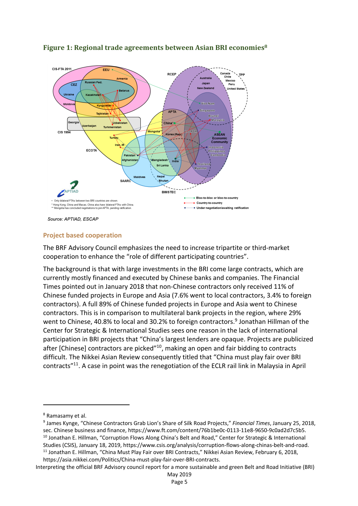

# **Figure 1: Regional trade agreements between Asian BRI economies<sup>8</sup>**

Source: APTIAD, ESCAP

## **Project based cooperation**

The BRF Advisory Council emphasizes the need to increase tripartite or third-market cooperation to enhance the "role of different participating countries".

The background is that with large investments in the BRI come large contracts, which are currently mostly financed and executed by Chinese banks and companies. The Financial Times pointed out in January 2018 that non-Chinese contractors only received 11% of Chinese funded projects in Europe and Asia (7.6% went to local contractors, 3.4% to foreign contractors). A full 89% of Chinese funded projects in Europe and Asia went to Chinese contractors. This is in comparison to multilateral bank projects in the region, where 29% went to Chinese, 40.8% to local and 30.2% to foreign contractors.<sup>9</sup> Jonathan Hillman of the Center for Strategic & International Studies sees one reason in the lack of international participation in BRI projects that "China's largest lenders are opaque. Projects are publicized after [Chinese] contractors are picked<sup>"10</sup>, making an open and fair bidding to contracts difficult. The Nikkei Asian Review consequently titled that "China must play fair over BRI contracts"11. A case in point was the renegotiation of the ECLR rail link in Malaysia in April

https://asia.nikkei.com/Politics/China-must-play-fair-over-BRI-contracts.

Interpreting the official BRF Advisory council report for a more sustainable and green Belt and Road Initiative (BRI)

<sup>8</sup> Ramasamy et al.

<sup>9</sup> James Kynge, "Chinese Contractors Grab Lion's Share of Silk Road Projects," *Financial Times*, January 25, 2018, sec. Chinese business and finance, https://www.ft.com/content/76b1be0c-0113-11e8-9650-9c0ad2d7c5b5. <sup>10</sup> Jonathan E. Hillman, "Corruption Flows Along China's Belt and Road," Center for Strategic & International

Studies (CSIS), January 18, 2019, https://www.csis.org/analysis/corruption-flows-along-chinas-belt-and-road. <sup>11</sup> Jonathan E. Hillman, "China Must Play Fair over BRI Contracts," Nikkei Asian Review, February 6, 2018,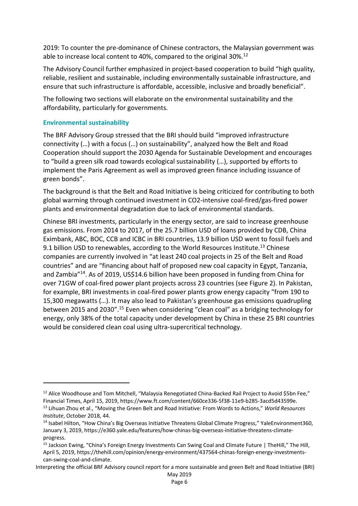2019: To counter the pre-dominance of Chinese contractors, the Malaysian government was able to increase local content to 40%, compared to the original 30%.<sup>12</sup>

The Advisory Council further emphasized in project-based cooperation to build "high quality, reliable, resilient and sustainable, including environmentally sustainable infrastructure, and ensure that such infrastructure is affordable, accessible, inclusive and broadly beneficial".

The following two sections will elaborate on the environmental sustainability and the affordability, particularly for governments.

## **Environmental sustainability**

The BRF Advisory Group stressed that the BRI should build "improved infrastructure connectivity (…) with a focus (…) on sustainability", analyzed how the Belt and Road Cooperation should support the 2030 Agenda for Sustainable Development and encourages to "build a green silk road towards ecological sustainability (…), supported by efforts to implement the Paris Agreement as well as improved green finance including issuance of green bonds".

The background is that the Belt and Road Initiative is being criticized for contributing to both global warming through continued investment in CO2-intensive coal-fired/gas-fired power plants and environmental degradation due to lack of environmental standards.

Chinese BRI investments, particularly in the energy sector, are said to increase greenhouse gas emissions. From 2014 to 2017, of the 25.7 billion USD of loans provided by CDB, China Eximbank, ABC, BOC, CCB and ICBC in BRI countries, 13.9 billion USD went to fossil fuels and 9.1 billion USD to renewables, according to the World Resources Institute.<sup>13</sup> Chinese companies are currently involved in "at least 240 coal projects in 25 of the Belt and Road countries" and are "financing about half of proposed new coal capacity in Egypt, Tanzania, and Zambia"14. As of 2019, US\$14.6 billion have been proposed in funding from China for over 71GW of coal-fired power plant projects across 23 countries (see Figure 2). In Pakistan, for example, BRI investments in coal-fired power plants grow energy capacity "from 190 to 15,300 megawatts (…). It may also lead to Pakistan's greenhouse gas emissions quadrupling between 2015 and 2030".15 Even when considering "clean coal" as a bridging technology for energy, only 38% of the total capacity under development by China in these 25 BRI countries would be considered clean coal using ultra-supercritical technology.

<sup>&</sup>lt;sup>12</sup> Alice Woodhouse and Tom Mitchell, "Malaysia Renegotiated China-Backed Rail Project to Avoid \$5bn Fee," Financial Times, April 15, 2019, https://www.ft.com/content/660ce336-5f38-11e9-b285-3acd5d43599e.

<sup>13</sup> Lihuan Zhou et al., "Moving the Green Belt and Road Initiative: From Words to Actions," *World Resources Institute*, October 2018, 44.

<sup>&</sup>lt;sup>14</sup> Isabel Hilton, "How China's Big Overseas Initiative Threatens Global Climate Progress," YaleEnvironment360, January 3, 2019, https://e360.yale.edu/features/how-chinas-big-overseas-initiative-threatens-climateprogress.

<sup>&</sup>lt;sup>15</sup> Jackson Ewing, "China's Foreign Energy Investments Can Swing Coal and Climate Future | TheHill," The Hill, April 5, 2019, https://thehill.com/opinion/energy-environment/437564-chinas-foreign-energy-investmentscan-swing-coal-and-climate.

Interpreting the official BRF Advisory council report for a more sustainable and green Belt and Road Initiative (BRI)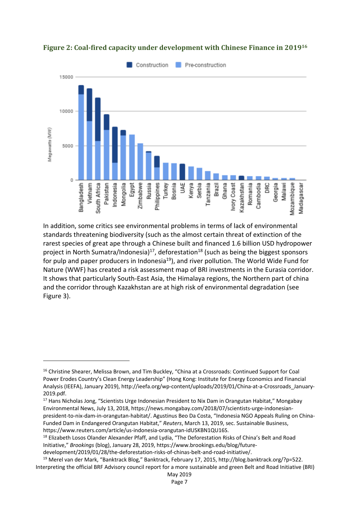



In addition, some critics see environmental problems in terms of lack of environmental standards threatening biodiversity (such as the almost certain threat of extinction of the rarest species of great ape through a Chinese built and financed 1.6 billion USD hydropower project in North Sumatra/Indonesia)<sup>17</sup>, deforestation<sup>18</sup> (such as being the biggest sponsors for pulp and paper producers in Indonesia<sup>19</sup>), and river pollution. The World Wide Fund for Nature (WWF) has created a risk assessment map of BRI investments in the Eurasia corridor. It shows that particularly South-East Asia, the Himalaya regions, the Northern part of china and the corridor through Kazakhstan are at high risk of environmental degradation (see Figure 3).

<sup>&</sup>lt;sup>16</sup> Christine Shearer, Melissa Brown, and Tim Buckley, "China at a Crossroads: Continued Support for Coal Power Erodes Country's Clean Energy Leadership" (Hong Kong: Institute for Energy Economics and Financial Analysis (IEEFA), January 2019), http://ieefa.org/wp-content/uploads/2019/01/China-at-a-Crossroads\_January-2019.pdf.

<sup>&</sup>lt;sup>17</sup> Hans Nicholas Jong, "Scientists Urge Indonesian President to Nix Dam in Orangutan Habitat," Mongabay Environmental News, July 13, 2018, https://news.mongabay.com/2018/07/scientists-urge-indonesianpresident-to-nix-dam-in-orangutan-habitat/. Agustinus Beo Da Costa, "Indonesia NGO Appeals Ruling on China-Funded Dam in Endangered Orangutan Habitat," *Reuters*, March 13, 2019, sec. Sustainable Business, https://www.reuters.com/article/us-indonesia-orangutan-idUSKBN1QU16S.

<sup>18</sup> Elizabeth Losos Olander Alexander Pfaff, and Lydia, "The Deforestation Risks of China's Belt and Road Initiative," *Brookings* (blog), January 28, 2019, https://www.brookings.edu/blog/futuredevelopment/2019/01/28/the-deforestation-risks-of-chinas-belt-and-road-initiative/.

Interpreting the official BRF Advisory council report for a more sustainable and green Belt and Road Initiative (BRI) <sup>19</sup> Merel van der Mark, "Banktrack Blog," Banktrack, February 17, 2015, http://blog.banktrack.org/?p=522.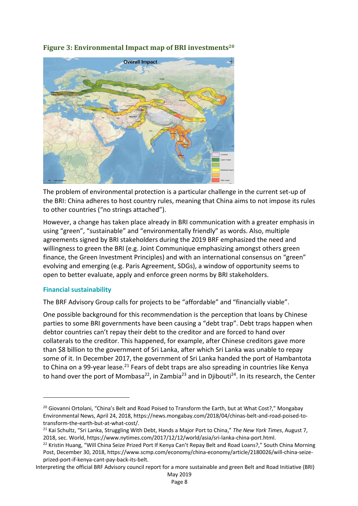

**Figure 3: Environmental Impact map of BRI investments<sup>20</sup>** 

The problem of environmental protection is a particular challenge in the current set-up of the BRI: China adheres to host country rules, meaning that China aims to not impose its rules to other countries ("no strings attached").

However, a change has taken place already in BRI communication with a greater emphasis in using "green", "sustainable" and "environmentally friendly" as words. Also, multiple agreements signed by BRI stakeholders during the 2019 BRF emphasized the need and willingness to green the BRI (e.g. Joint Communique emphasizing amongst others green finance, the Green Investment Principles) and with an international consensus on "green" evolving and emerging (e.g. Paris Agreement, SDGs), a window of opportunity seems to open to better evaluate, apply and enforce green norms by BRI stakeholders.

## **Financial sustainability**

The BRF Advisory Group calls for projects to be "affordable" and "financially viable".

One possible background for this recommendation is the perception that loans by Chinese parties to some BRI governments have been causing a "debt trap". Debt traps happen when debtor countries can't repay their debt to the creditor and are forced to hand over collaterals to the creditor. This happened, for example, after Chinese creditors gave more than \$8 billion to the government of Sri Lanka, after which Sri Lanka was unable to repay some of it. In December 2017, the government of Sri Lanka handed the port of Hambantota to China on a 99-year lease.<sup>21</sup> Fears of debt traps are also spreading in countries like Kenya to hand over the port of Mombasa<sup>22</sup>, in Zambia<sup>23</sup> and in Djibouti<sup>24</sup>. In its research, the Center

<sup>&</sup>lt;sup>20</sup> Giovanni Ortolani, "China's Belt and Road Poised to Transform the Earth, but at What Cost?," Mongabay Environmental News, April 24, 2018, https://news.mongabay.com/2018/04/chinas-belt-and-road-poised-totransform-the-earth-but-at-what-cost/.

<sup>21</sup> Kai Schultz, "Sri Lanka, Struggling With Debt, Hands a Major Port to China," *The New York Times*, August 7, 2018, sec. World, https://www.nytimes.com/2017/12/12/world/asia/sri-lanka-china-port.html.

<sup>&</sup>lt;sup>22</sup> Kristin Huang, "Will China Seize Prized Port If Kenya Can't Repay Belt and Road Loans?," South China Morning Post, December 30, 2018, https://www.scmp.com/economy/china-economy/article/2180026/will-china-seizeprized-port-if-kenya-cant-pay-back-its-belt.

Interpreting the official BRF Advisory council report for a more sustainable and green Belt and Road Initiative (BRI)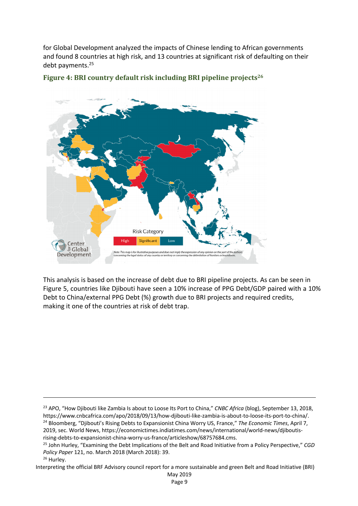for Global Development analyzed the impacts of Chinese lending to African governments and found 8 countries at high risk, and 13 countries at significant risk of defaulting on their debt payments. 25





This analysis is based on the increase of debt due to BRI pipeline projects. As can be seen in Figure 5, countries like Djibouti have seen a 10% increase of PPG Debt/GDP paired with a 10% Debt to China/external PPG Debt (%) growth due to BRI projects and required credits, making it one of the countries at risk of debt trap.

Interpreting the official BRF Advisory council report for a more sustainable and green Belt and Road Initiative (BRI)

<sup>23</sup> APO, "How Djibouti like Zambia Is about to Loose Its Port to China," *CNBC Africa* (blog), September 13, 2018, https://www.cnbcafrica.com/apo/2018/09/13/how-djibouti-like-zambia-is-about-to-loose-its-port-to-china/. <sup>24</sup> Bloomberg, "Djibouti's Rising Debts to Expansionist China Worry US, France," *The Economic Times*, April 7, 2019, sec. World News, https://economictimes.indiatimes.com/news/international/world-news/djiboutisrising-debts-to-expansionist-china-worry-us-france/articleshow/68757684.cms.

<sup>25</sup> John Hurley, "Examining the Debt Implications of the Belt and Road Initiative from a Policy Perspective," *CGD Policy Paper* 121, no. March 2018 (March 2018): 39.

<sup>&</sup>lt;sup>26</sup> Hurley.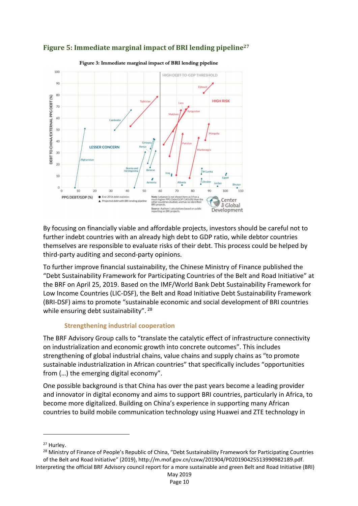

# **Figure 5: Immediate marginal impact of BRI lending pipeline**<sup>27</sup>

Figure 3: Immediate marginal impact of BRI lending pipeline

By focusing on financially viable and affordable projects, investors should be careful not to further indebt countries with an already high debt to GDP ratio, while debtor countries themselves are responsible to evaluate risks of their debt. This process could be helped by third-party auditing and second-party opinions.

To further improve financial sustainability, the Chinese Ministry of Finance published the "Debt Sustainability Framework for Participating Countries of the Belt and Road Initiative" at the BRF on April 25, 2019. Based on the IMF/World Bank Debt Sustainability Framework for Low Income Countries (LIC-DSF), the Belt and Road Initiative Debt Sustainability Framework (BRI-DSF) aims to promote "sustainable economic and social development of BRI countries while ensuring debt sustainability". <sup>28</sup>

## **Strengthening industrial cooperation**

The BRF Advisory Group calls to "translate the catalytic effect of infrastructure connectivity on industrialization and economic growth into concrete outcomes". This includes strengthening of global industrial chains, value chains and supply chains as "to promote sustainable industrialization in African countries" that specifically includes "opportunities from (…) the emerging digital economy".

One possible background is that China has over the past years become a leading provider and innovator in digital economy and aims to support BRI countries, particularly in Africa, to become more digitalized. Building on China's experience in supporting many African countries to build mobile communication technology using Huawei and ZTE technology in

<sup>27</sup> Hurley.

Interpreting the official BRF Advisory council report for a more sustainable and green Belt and Road Initiative (BRI) <sup>28</sup> Ministry of Finance of People's Republic of China, "Debt Sustainability Framework for Participating Countries of the Belt and Road Initiative" (2019), http://m.mof.gov.cn/czxw/201904/P020190425513990982189.pdf.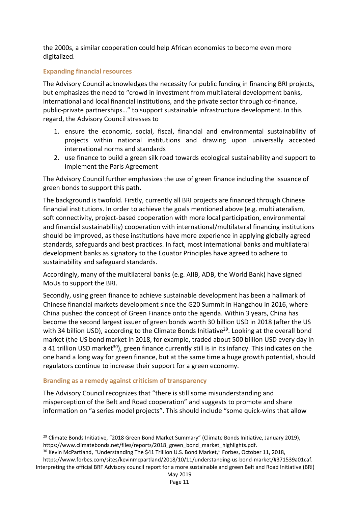the 2000s, a similar cooperation could help African economies to become even more digitalized.

#### **Expanding financial resources**

The Advisory Council acknowledges the necessity for public funding in financing BRI projects, but emphasizes the need to "crowd in investment from multilateral development banks, international and local financial institutions, and the private sector through co-finance, public-private partnerships…" to support sustainable infrastructure development. In this regard, the Advisory Council stresses to

- 1. ensure the economic, social, fiscal, financial and environmental sustainability of projects within national institutions and drawing upon universally accepted international norms and standards
- 2. use finance to build a green silk road towards ecological sustainability and support to implement the Paris Agreement

The Advisory Council further emphasizes the use of green finance including the issuance of green bonds to support this path.

The background is twofold. Firstly, currently all BRI projects are financed through Chinese financial institutions. In order to achieve the goals mentioned above (e.g. multilateralism, soft connectivity, project-based cooperation with more local participation, environmental and financial sustainability) cooperation with international/multilateral financing institutions should be improved, as these institutions have more experience in applying globally agreed standards, safeguards and best practices. In fact, most international banks and multilateral development banks as signatory to the Equator Principles have agreed to adhere to sustainability and safeguard standards.

Accordingly, many of the multilateral banks (e.g. AIIB, ADB, the World Bank) have signed MoUs to support the BRI.

Secondly, using green finance to achieve sustainable development has been a hallmark of Chinese financial markets development since the G20 Summit in Hangzhou in 2016, where China pushed the concept of Green Finance onto the agenda. Within 3 years, China has become the second largest issuer of green bonds worth 30 billion USD in 2018 (after the US with 34 billion USD), according to the Climate Bonds Initiative<sup>29</sup>. Looking at the overall bond market (the US bond market in 2018, for example, traded about 500 billion USD every day in a 41 trillion USD market<sup>30</sup>), green finance currently still is in its infancy. This indicates on the one hand a long way for green finance, but at the same time a huge growth potential, should regulators continue to increase their support for a green economy.

#### **Branding as a remedy against criticism of transparency**

The Advisory Council recognizes that "there is still some misunderstanding and misperception of the Belt and Road cooperation" and suggests to promote and share information on "a series model projects". This should include "some quick-wins that allow

<sup>&</sup>lt;sup>29</sup> Climate Bonds Initiative, "2018 Green Bond Market Summary" (Climate Bonds Initiative, January 2019), https://www.climatebonds.net/files/reports/2018\_green\_bond\_market\_highlights.pdf.

Interpreting the official BRF Advisory council report for a more sustainable and green Belt and Road Initiative (BRI) <sup>30</sup> Kevin McPartland, "Understanding The \$41 Trillion U.S. Bond Market," Forbes, October 11, 2018, https://www.forbes.com/sites/kevinmcpartland/2018/10/11/understanding-us-bond-market/#371539a01caf.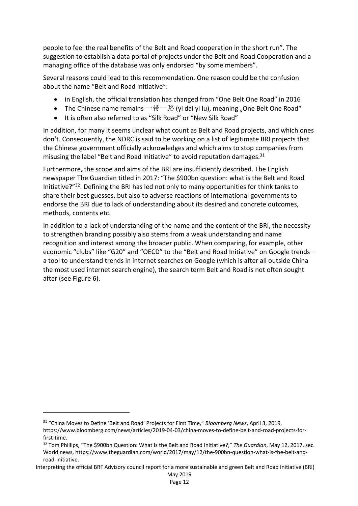people to feel the real benefits of the Belt and Road cooperation in the short run". The suggestion to establish a data portal of projects under the Belt and Road Cooperation and a managing office of the database was only endorsed "by some members".

Several reasons could lead to this recommendation. One reason could be the confusion about the name "Belt and Road Initiative":

- in English, the official translation has changed from "One Belt One Road" in 2016
- The Chinese name remains 一带一路 (yi dai yi lu), meaning "One Belt One Road"
- It is often also referred to as "Silk Road" or "New Silk Road"

In addition, for many it seems unclear what count as Belt and Road projects, and which ones don't. Consequently, the NDRC is said to be working on a list of legitimate BRI projects that the Chinese government officially acknowledges and which aims to stop companies from misusing the label "Belt and Road Initiative" to avoid reputation damages.<sup>31</sup>

Furthermore, the scope and aims of the BRI are insufficiently described. The English newspaper The Guardian titled in 2017: "The \$900bn question: what is the Belt and Road Initiative?"32. Defining the BRI has led not only to many opportunities for think tanks to share their best guesses, but also to adverse reactions of international governments to endorse the BRI due to lack of understanding about its desired and concrete outcomes, methods, contents etc.

In addition to a lack of understanding of the name and the content of the BRI, the necessity to strengthen branding possibly also stems from a weak understanding and name recognition and interest among the broader public. When comparing, for example, other economic "clubs" like "G20" and "OECD" to the "Belt and Road Initiative" on Google trends – a tool to understand trends in internet searches on Google (which is after all outside China the most used internet search engine), the search term Belt and Road is not often sought after (see Figure 6).

<sup>31</sup> "China Moves to Define 'Belt and Road' Projects for First Time," *Bloomberg News*, April 3, 2019,

https://www.bloomberg.com/news/articles/2019-04-03/china-moves-to-define-belt-and-road-projects-forfirst-time.

<sup>32</sup> Tom Phillips, "The \$900bn Question: What Is the Belt and Road Initiative?," *The Guardian*, May 12, 2017, sec. World news, https://www.theguardian.com/world/2017/may/12/the-900bn-question-what-is-the-belt-androad-initiative.

Interpreting the official BRF Advisory council report for a more sustainable and green Belt and Road Initiative (BRI)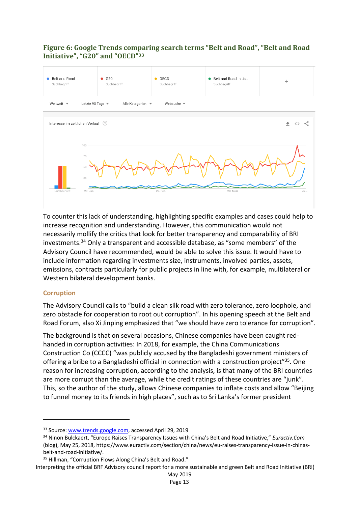## **Figure 6: Google Trends comparing search terms "Belt and Road", "Belt and Road** Initiative", "G20" and "OECD"<sup>33</sup>



To counter this lack of understanding, highlighting specific examples and cases could help to increase recognition and understanding. However, this communication would not necessarily mollify the critics that look for better transparency and comparability of BRI investments.34 Only a transparent and accessible database, as "some members" of the Advisory Council have recommended, would be able to solve this issue. It would have to include information regarding investments size, instruments, involved parties, assets, emissions, contracts particularly for public projects in line with, for example, multilateral or Western bilateral development banks.

## **Corruption**

The Advisory Council calls to "build a clean silk road with zero tolerance, zero loophole, and zero obstacle for cooperation to root out corruption". In his opening speech at the Belt and Road Forum, also Xi Jinping emphasized that "we should have zero tolerance for corruption".

The background is that on several occasions, Chinese companies have been caught redhanded in corruption activities: In 2018, for example, the China Communications Construction Co (CCCC) "was publicly accused by the Bangladeshi government ministers of offering a bribe to a Bangladeshi official in connection with a construction project<sup>"35</sup>. One reason for increasing corruption, according to the analysis, is that many of the BRI countries are more corrupt than the average, while the credit ratings of these countries are "junk". This, so the author of the study, allows Chinese companies to inflate costs and allow "Beijing to funnel money to its friends in high places", such as to Sri Lanka's former president

May 2019 Page 13

<sup>33</sup> Source: www.trends.google.com, accessed April 29, 2019

<sup>34</sup> Ninon Bulckaert, "Europe Raises Transparency Issues with China's Belt and Road Initiative," *Euractiv.Com* (blog), May 25, 2018, https://www.euractiv.com/section/china/news/eu-raises-transparency-issue-in-chinasbelt-and-road-initiative/.

<sup>35</sup> Hillman, "Corruption Flows Along China's Belt and Road."

Interpreting the official BRF Advisory council report for a more sustainable and green Belt and Road Initiative (BRI)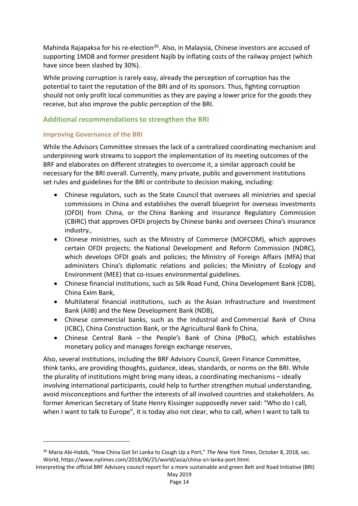Mahinda Rajapaksa for his re-election<sup>36</sup>. Also, in Malaysia, Chinese investors are accused of supporting 1MDB and former president Najib by inflating costs of the railway project (which have since been slashed by 30%).

While proving corruption is rarely easy, already the perception of corruption has the potential to taint the reputation of the BRI and of its sponsors. Thus, fighting corruption should not only profit local communities as they are paying a lower price for the goods they receive, but also improve the public perception of the BRI.

## **Additional recommendations to strengthen the BRI**

#### **Improving Governance of the BRI**

While the Advisors Committee stresses the lack of a centralized coordinating mechanism and underpinning work streams to support the implementation of its meeting outcomes of the BRF and elaborates on different strategies to overcome it, a similar approach could be necessary for the BRI overall. Currently, many private, public and government institutions set rules and guidelines for the BRI or contribute to decision making, including:

- Chinese regulators, such as the State Council that oversees all ministries and special commissions in China and establishes the overall blueprint for overseas investments (OFDI) from China, or the China Banking and Insurance Regulatory Commission (CBIRC) that approves OFDI projects by Chinese banks and oversees China's insurance industry.,
- Chinese ministries, such as the Ministry of Commerce (MOFCOM), which approves certain OFDI projects; the National Development and Reform Commission (NDRC), which develops OFDI goals and policies; the Ministry of Foreign Affairs (MFA) that administers China's diplomatic relations and policies; the Ministry of Ecology and Environment (MEE) that co-issues environmental guidelines.
- Chinese financial institutions, such as Silk Road Fund, China Development Bank (CDB), China Exim Bank,
- Multilateral financial institutions, such as the Asian Infrastructure and Investment Bank (AIIB) and the New Development Bank (NDB),
- Chinese commercial banks, such as the Industrial and Commercial Bank of China (ICBC), China Construction Bank, or the Agricultural Bank fo China,
- Chinese Central Bank the People's Bank of China (PBoC), which establishes monetary policy and manages foreign exchange reserves,

Also, several institutions, including the BRF Advisory Council, Green Finance Committee, think tanks, are providing thoughts, guidance, ideas, standards, or norms on the BRI. While the plurality of institutions might bring many ideas, a coordinating mechanisms – ideally involving international participants, could help to further strengthen mutual understanding, avoid misconceptions and further the interests of all involved countries and stakeholders. As former American Secretary of State Henry Kissinger supposedly never said: "Who do I call, when I want to talk to Europe", it is today also not clear, who to call, when I want to talk to

May 2019 Page 14

<sup>36</sup> Maria Abi-Habib, "How China Got Sri Lanka to Cough Up a Port," *The New York Times*, October 8, 2018, sec. World, https://www.nytimes.com/2018/06/25/world/asia/china-sri-lanka-port.html.

Interpreting the official BRF Advisory council report for a more sustainable and green Belt and Road Initiative (BRI)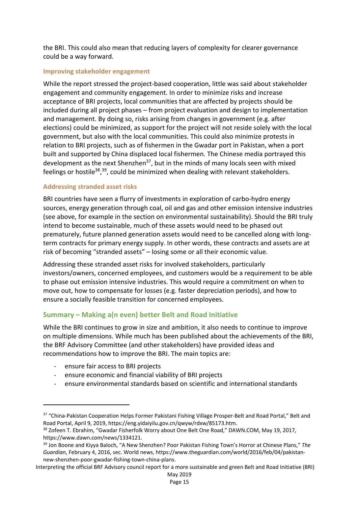the BRI. This could also mean that reducing layers of complexity for clearer governance could be a way forward.

## **Improving stakeholder engagement**

While the report stressed the project-based cooperation, little was said about stakeholder engagement and community engagement. In order to minimize risks and increase acceptance of BRI projects, local communities that are affected by projects should be included during all project phases – from project evaluation and design to implementation and management. By doing so, risks arising from changes in government (e.g. after elections) could be minimized, as support for the project will not reside solely with the local government, but also with the local communities. This could also minimize protests in relation to BRI projects, such as of fishermen in the Gwadar port in Pakistan, when a port built and supported by China displaced local fishermen. The Chinese media portrayed this development as the next Shenzhen<sup>37</sup>, but in the minds of many locals seen with mixed feelings or hostile<sup>38</sup>,<sup>39</sup>, could be minimized when dealing with relevant stakeholders.

## **Addressing stranded asset risks**

BRI countries have seen a flurry of investments in exploration of carbo-hydro energy sources, energy generation through coal, oil and gas and other emission intensive industries (see above, for example in the section on environmental sustainability). Should the BRI truly intend to become sustainable, much of these assets would need to be phased out prematurely, future planned generation assets would need to be cancelled along with longterm contracts for primary energy supply. In other words, these contracts and assets are at risk of becoming "stranded assets" – losing some or all their economic value.

Addressing these stranded asset risks for involved stakeholders, particularly investors/owners, concerned employees, and customers would be a requirement to be able to phase out emission intensive industries. This would require a commitment on when to move out, how to compensate for losses (e.g. faster depreciation periods), and how to ensure a socially feasible transition for concerned employees.

# **Summary – Making a(n even) better Belt and Road Initiative**

While the BRI continues to grow in size and ambition, it also needs to continue to improve on multiple dimensions. While much has been published about the achievements of the BRI, the BRF Advisory Committee (and other stakeholders) have provided ideas and recommendations how to improve the BRI. The main topics are:

- ensure fair access to BRI projects
- ensure economic and financial viability of BRI projects
- ensure environmental standards based on scientific and international standards

<sup>37 &</sup>quot;China-Pakistan Cooperation Helps Former Pakistani Fishing Village Prosper-Belt and Road Portal," Belt and Road Portal, April 9, 2019, https://eng.yidaiyilu.gov.cn/qwyw/rdxw/85173.htm.

<sup>&</sup>lt;sup>38</sup> Zofeen T. Ebrahim, "Gwadar Fisherfolk Worry about One Belt One Road," DAWN.COM, May 19, 2017, https://www.dawn.com/news/1334121.

<sup>39</sup> Jon Boone and Kiyya Baloch, "A New Shenzhen? Poor Pakistan Fishing Town's Horror at Chinese Plans," *The Guardian*, February 4, 2016, sec. World news, https://www.theguardian.com/world/2016/feb/04/pakistannew-shenzhen-poor-gwadar-fishing-town-china-plans.

Interpreting the official BRF Advisory council report for a more sustainable and green Belt and Road Initiative (BRI)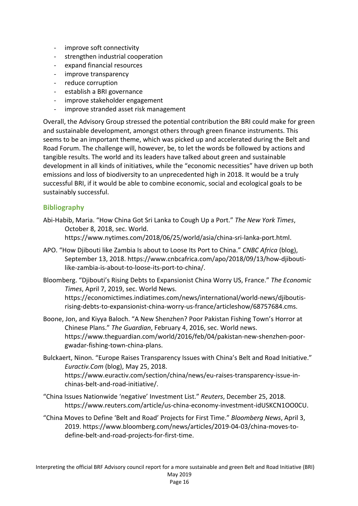- improve soft connectivity
- strengthen industrial cooperation
- expand financial resources
- improve transparency
- reduce corruption
- establish a BRI governance
- improve stakeholder engagement
- improve stranded asset risk management

Overall, the Advisory Group stressed the potential contribution the BRI could make for green and sustainable development, amongst others through green finance instruments. This seems to be an important theme, which was picked up and accelerated during the Belt and Road Forum. The challenge will, however, be, to let the words be followed by actions and tangible results. The world and its leaders have talked about green and sustainable development in all kinds of initiatives, while the "economic necessities" have driven up both emissions and loss of biodiversity to an unprecedented high in 2018. It would be a truly successful BRI, if it would be able to combine economic, social and ecological goals to be sustainably successful.

## **Bibliography**

- Abi-Habib, Maria. "How China Got Sri Lanka to Cough Up a Port." *The New York Times*, October 8, 2018, sec. World. https://www.nytimes.com/2018/06/25/world/asia/china-sri-lanka-port.html.
- APO. "How Djibouti like Zambia Is about to Loose Its Port to China." *CNBC Africa* (blog), September 13, 2018. https://www.cnbcafrica.com/apo/2018/09/13/how-djiboutilike-zambia-is-about-to-loose-its-port-to-china/.
- Bloomberg. "Djibouti's Rising Debts to Expansionist China Worry US, France." *The Economic Times*, April 7, 2019, sec. World News.

https://economictimes.indiatimes.com/news/international/world-news/djiboutisrising-debts-to-expansionist-china-worry-us-france/articleshow/68757684.cms.

- Boone, Jon, and Kiyya Baloch. "A New Shenzhen? Poor Pakistan Fishing Town's Horror at Chinese Plans." *The Guardian*, February 4, 2016, sec. World news. https://www.theguardian.com/world/2016/feb/04/pakistan-new-shenzhen-poorgwadar-fishing-town-china-plans.
- Bulckaert, Ninon. "Europe Raises Transparency Issues with China's Belt and Road Initiative." *Euractiv.Com* (blog), May 25, 2018. https://www.euractiv.com/section/china/news/eu-raises-transparency-issue-inchinas-belt-and-road-initiative/.
- "China Issues Nationwide 'negative' Investment List." *Reuters*, December 25, 2018. https://www.reuters.com/article/us-china-economy-investment-idUSKCN1OO0CU.
- "China Moves to Define 'Belt and Road' Projects for First Time." *Bloomberg News*, April 3, 2019. https://www.bloomberg.com/news/articles/2019-04-03/china-moves-todefine-belt-and-road-projects-for-first-time.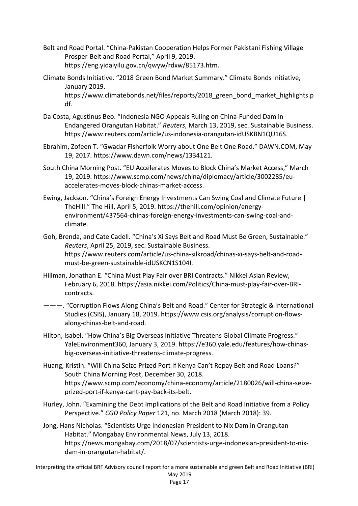- Belt and Road Portal. "China-Pakistan Cooperation Helps Former Pakistani Fishing Village Prosper-Belt and Road Portal," April 9, 2019. https://eng.yidaiyilu.gov.cn/qwyw/rdxw/85173.htm.
- Climate Bonds Initiative. "2018 Green Bond Market Summary." Climate Bonds Initiative, January 2019. https://www.climatebonds.net/files/reports/2018 green\_bond\_market\_highlights.p df.
- Da Costa, Agustinus Beo. "Indonesia NGO Appeals Ruling on China-Funded Dam in Endangered Orangutan Habitat." *Reuters*, March 13, 2019, sec. Sustainable Business. https://www.reuters.com/article/us-indonesia-orangutan-idUSKBN1QU16S.
- Ebrahim, Zofeen T. "Gwadar Fisherfolk Worry about One Belt One Road." DAWN.COM, May 19, 2017. https://www.dawn.com/news/1334121.
- South China Morning Post. "EU Accelerates Moves to Block China's Market Access," March 19, 2019. https://www.scmp.com/news/china/diplomacy/article/3002285/euaccelerates-moves-block-chinas-market-access.
- Ewing, Jackson. "China's Foreign Energy Investments Can Swing Coal and Climate Future | TheHill." The Hill, April 5, 2019. https://thehill.com/opinion/energyenvironment/437564-chinas-foreign-energy-investments-can-swing-coal-andclimate.
- Goh, Brenda, and Cate Cadell. "China's Xi Says Belt and Road Must Be Green, Sustainable." *Reuters*, April 25, 2019, sec. Sustainable Business. https://www.reuters.com/article/us-china-silkroad/chinas-xi-says-belt-and-roadmust-be-green-sustainable-idUSKCN1S104I.
- Hillman, Jonathan E. "China Must Play Fair over BRI Contracts." Nikkei Asian Review, February 6, 2018. https://asia.nikkei.com/Politics/China-must-play-fair-over-BRIcontracts.
- ———. "Corruption Flows Along China's Belt and Road." Center for Strategic & International Studies (CSIS), January 18, 2019. https://www.csis.org/analysis/corruption-flowsalong-chinas-belt-and-road.
- Hilton, Isabel. "How China's Big Overseas Initiative Threatens Global Climate Progress." YaleEnvironment360, January 3, 2019. https://e360.yale.edu/features/how-chinasbig-overseas-initiative-threatens-climate-progress.
- Huang, Kristin. "Will China Seize Prized Port If Kenya Can't Repay Belt and Road Loans?" South China Morning Post, December 30, 2018. https://www.scmp.com/economy/china-economy/article/2180026/will-china-seizeprized-port-if-kenya-cant-pay-back-its-belt.
- Hurley, John. "Examining the Debt Implications of the Belt and Road Initiative from a Policy Perspective." *CGD Policy Paper* 121, no. March 2018 (March 2018): 39.
- Jong, Hans Nicholas. "Scientists Urge Indonesian President to Nix Dam in Orangutan Habitat." Mongabay Environmental News, July 13, 2018. https://news.mongabay.com/2018/07/scientists-urge-indonesian-president-to-nixdam-in-orangutan-habitat/.

Interpreting the official BRF Advisory council report for a more sustainable and green Belt and Road Initiative (BRI) May 2019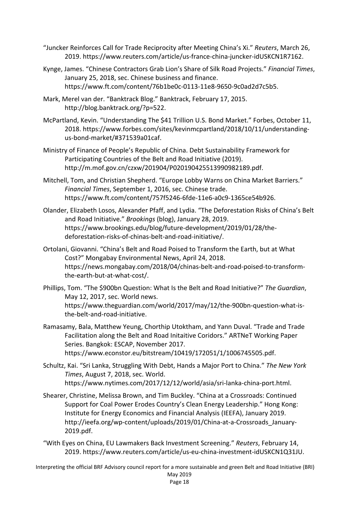- "Juncker Reinforces Call for Trade Reciprocity after Meeting China's Xi." *Reuters*, March 26, 2019. https://www.reuters.com/article/us-france-china-juncker-idUSKCN1R7162.
- Kynge, James. "Chinese Contractors Grab Lion's Share of Silk Road Projects." *Financial Times*, January 25, 2018, sec. Chinese business and finance. https://www.ft.com/content/76b1be0c-0113-11e8-9650-9c0ad2d7c5b5.
- Mark, Merel van der. "Banktrack Blog." Banktrack, February 17, 2015. http://blog.banktrack.org/?p=522.
- McPartland, Kevin. "Understanding The \$41 Trillion U.S. Bond Market." Forbes, October 11, 2018. https://www.forbes.com/sites/kevinmcpartland/2018/10/11/understandingus-bond-market/#371539a01caf.
- Ministry of Finance of People's Republic of China. Debt Sustainability Framework for Participating Countries of the Belt and Road Initiative (2019). http://m.mof.gov.cn/czxw/201904/P020190425513990982189.pdf.
- Mitchell, Tom, and Christian Shepherd. "Europe Lobby Warns on China Market Barriers." *Financial Times*, September 1, 2016, sec. Chinese trade. https://www.ft.com/content/757f5246-6fde-11e6-a0c9-1365ce54b926.
- Olander, Elizabeth Losos, Alexander Pfaff, and Lydia. "The Deforestation Risks of China's Belt and Road Initiative." *Brookings* (blog), January 28, 2019. https://www.brookings.edu/blog/future-development/2019/01/28/thedeforestation-risks-of-chinas-belt-and-road-initiative/.
- Ortolani, Giovanni. "China's Belt and Road Poised to Transform the Earth, but at What Cost?" Mongabay Environmental News, April 24, 2018. https://news.mongabay.com/2018/04/chinas-belt-and-road-poised-to-transformthe-earth-but-at-what-cost/.
- Phillips, Tom. "The \$900bn Question: What Is the Belt and Road Initiative?" *The Guardian*, May 12, 2017, sec. World news. https://www.theguardian.com/world/2017/may/12/the-900bn-question-what-isthe-belt-and-road-initiative.
- Ramasamy, Bala, Matthew Yeung, Chorthip Utoktham, and Yann Duval. "Trade and Trade Facilitation along the Belt and Road Initaitive Coridors." ARTNeT Working Paper Series. Bangkok: ESCAP, November 2017. https://www.econstor.eu/bitstream/10419/172051/1/1006745505.pdf.
- Schultz, Kai. "Sri Lanka, Struggling With Debt, Hands a Major Port to China." *The New York Times*, August 7, 2018, sec. World. https://www.nytimes.com/2017/12/12/world/asia/sri-lanka-china-port.html.
- Shearer, Christine, Melissa Brown, and Tim Buckley. "China at a Crossroads: Continued Support for Coal Power Erodes Country's Clean Energy Leadership." Hong Kong: Institute for Energy Economics and Financial Analysis (IEEFA), January 2019. http://ieefa.org/wp-content/uploads/2019/01/China-at-a-Crossroads\_January-2019.pdf.
- "With Eyes on China, EU Lawmakers Back Investment Screening." *Reuters*, February 14, 2019. https://www.reuters.com/article/us-eu-china-investment-idUSKCN1Q31JU.

Interpreting the official BRF Advisory council report for a more sustainable and green Belt and Road Initiative (BRI) May 2019